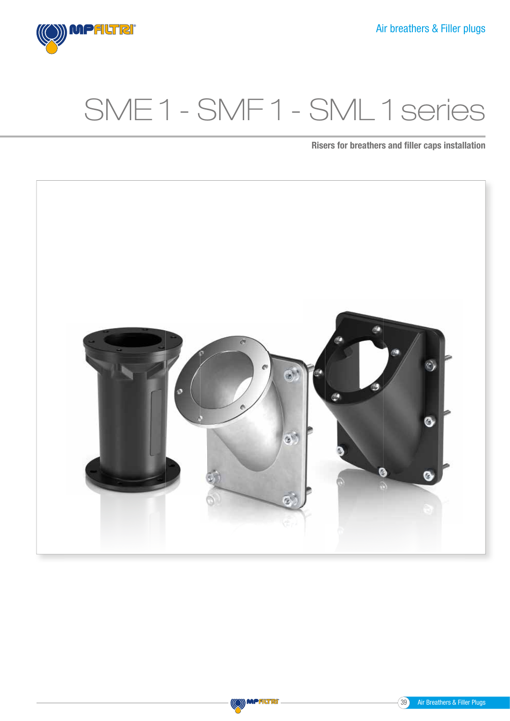# SME 1 - SMF 1 - SML 1 series

Risers for breathers and filler caps installation





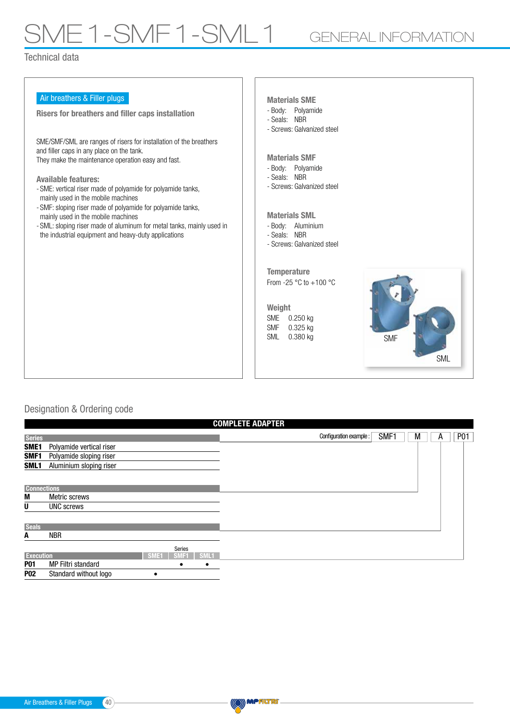# 1E1-SMF1-SML1 GENERAL INFORMATION

### Technical data

| Air breathers & Filler plugs<br>Risers for breathers and filler caps installation                                                                                                                                                                                                                                                                                                                                                                                                                                                               | <b>Materials SME</b><br>- Body: Polyamide<br>- Seals: NBR                                                                                                                                                                                                                          |
|-------------------------------------------------------------------------------------------------------------------------------------------------------------------------------------------------------------------------------------------------------------------------------------------------------------------------------------------------------------------------------------------------------------------------------------------------------------------------------------------------------------------------------------------------|------------------------------------------------------------------------------------------------------------------------------------------------------------------------------------------------------------------------------------------------------------------------------------|
| SME/SMF/SML are ranges of risers for installation of the breathers<br>and filler caps in any place on the tank.<br>They make the maintenance operation easy and fast.<br><b>Available features:</b><br>- SME: vertical riser made of polyamide for polyamide tanks,<br>mainly used in the mobile machines<br>- SMF: sloping riser made of polyamide for polyamide tanks,<br>mainly used in the mobile machines<br>- SML: sloping riser made of aluminum for metal tanks, mainly used in<br>the industrial equipment and heavy-duty applications | - Screws: Galvanized steel<br><b>Materials SMF</b><br>- Body: Polyamide<br>- Seals: NBR<br>- Screws: Galvanized steel<br><b>Materials SML</b><br>- Body: Aluminium<br>- Seals: NBR<br>- Screws: Galvanized steel<br><b>Temperature</b><br>From -25 $\degree$ C to +100 $\degree$ C |
|                                                                                                                                                                                                                                                                                                                                                                                                                                                                                                                                                 | Weight<br>SME<br>$0.250$ kg<br><b>SMF</b><br>0.325 kg<br><b>SML</b><br>0.380 kg<br><b>SMF</b><br><b>SML</b>                                                                                                                                                                        |

### Designation & Ordering code

| <b>COMPLETE ADAPTER</b> |                          |                  |        |      |  |                        |      |   |  |   |  |            |
|-------------------------|--------------------------|------------------|--------|------|--|------------------------|------|---|--|---|--|------------|
| <b>Series</b>           |                          |                  |        |      |  | Configuration example: | SMF1 | М |  | A |  | <b>P01</b> |
| SME1                    | Polyamide vertical riser |                  |        |      |  |                        |      |   |  |   |  |            |
| SMF1                    | Polyamide sloping riser  |                  |        |      |  |                        |      |   |  |   |  |            |
| SML1                    | Aluminium sloping riser  |                  |        |      |  |                        |      |   |  |   |  |            |
|                         |                          |                  |        |      |  |                        |      |   |  |   |  |            |
| <b>Connections</b>      |                          |                  |        |      |  |                        |      |   |  |   |  |            |
| M                       | Metric screws            |                  |        |      |  |                        |      |   |  |   |  |            |
| U                       | <b>UNC</b> screws        |                  |        |      |  |                        |      |   |  |   |  |            |
| <b>Seals</b>            |                          |                  |        |      |  |                        |      |   |  |   |  |            |
| A                       | NBR                      |                  |        |      |  |                        |      |   |  |   |  |            |
|                         |                          |                  | Series |      |  |                        |      |   |  |   |  |            |
| <b>Execution</b>        |                          | SME <sub>1</sub> | SMF1   | SML1 |  |                        |      |   |  |   |  |            |
| <b>P01</b>              | MP Filtri standard       |                  | ٠      | ٠    |  |                        |      |   |  |   |  |            |
| <b>P02</b>              | Standard without logo    |                  |        |      |  |                        |      |   |  |   |  |            |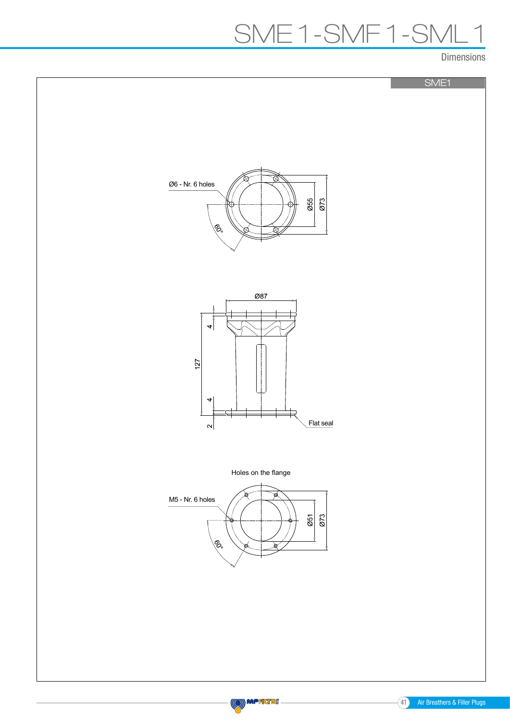### SME 1-SMF 1-SML 1

Dimensions